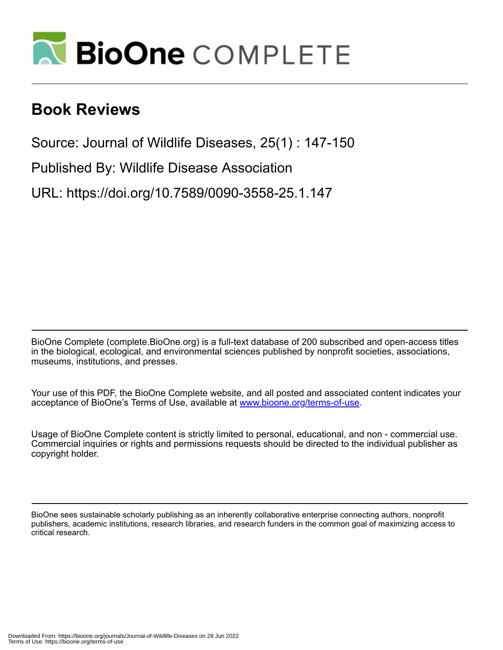

## **Book Reviews**

Source: Journal of Wildlife Diseases, 25(1) : 147-150

Published By: Wildlife Disease Association

URL: https://doi.org/10.7589/0090-3558-25.1.147

BioOne Complete (complete.BioOne.org) is a full-text database of 200 subscribed and open-access titles in the biological, ecological, and environmental sciences published by nonprofit societies, associations, museums, institutions, and presses.

Your use of this PDF, the BioOne Complete website, and all posted and associated content indicates your acceptance of BioOne's Terms of Use, available at www.bioone.org/terms-of-use.

Usage of BioOne Complete content is strictly limited to personal, educational, and non - commercial use. Commercial inquiries or rights and permissions requests should be directed to the individual publisher as copyright holder.

BioOne sees sustainable scholarly publishing as an inherently collaborative enterprise connecting authors, nonprofit publishers, academic institutions, research libraries, and research funders in the common goal of maximizing access to critical research.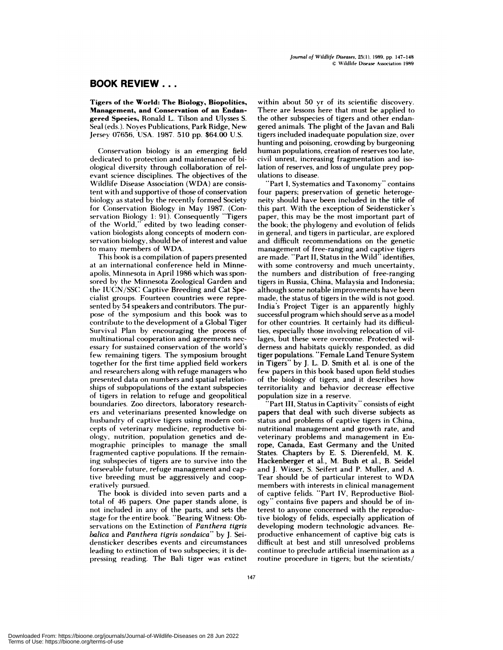## **BOOK REVIEW...**

Tigers of the **World: The Biology, Biopolitics, Management, and Conservation of an Endan gered Species, Ronald L. Tilson and Ulysses S.** Seal (eds.). Noyes Publications, Park Ridge, New Jersey 07656, USA. 1987. 510 pp. \$64.00 U.S.

**Conservation** biology is an emerging field dedicated to protection and maintenance of bi ological diversity through collaboration of rel evant science disciplines. The objectives of the Wildlife Disease Association **(WDA) are consis**tent with and supportive of those of conservation biology as stated by the recently formed Society for Conservation Biology in May 1987. (Conservation Biology 1: 91). Consequently "Tigers of the World," edited by two leading conser vation biologists along concepts of modern conservation biology, should be of interest and value to many members of WDA.

This book is a compilation of papers presented at an international conference held in Minne**apolis, Minnesota in April**1986 which was spon **sored** by the Minnesota Zoological Garden and the IUCN/SSC Captive Breeding and Cat Spe**cialist** groups. Fourteen countries were represented by 54 speakers and contributors. The pur pose of the symposium and this book was to contribute to the development of a Global Tiger Survival Plan by encouraging the process of multinational cooperation and agreements nec essary for sustained conservation of the world's few remaining tigers. The symposium brought together for the first time applied field workers and researchers along with refuge managers who presented data on numbers and spatial relationships of subpopulations of the extant subspecies of tigers in relation to refuge and geopolitical boundaries. Zoo directors, laboratory research ers and veterinarians presented knowledge on husbandry of captive tigers using modern con cepts of veterinary medicine, reproductive biologv, nutrition, population genetics and de mographic principles to manage the small fragmented captive populations. If the remaining subspecies of tigers are to survive into the forseeable future, refuge management and captive breeding must be aggressively and coop erativelv pursued.

The book is divided into seven parts and a total of 46 papers. One paper stands alone, is not included in any of the parts, and sets the stage **for** the entire book. "Bearing Witness: Ob servations on the Extinction of *Pan thera tigris balica* and *Panthera tigris sondaica"* by J. Sei densticker describes events and circumstances leading to extinction of two subspecies; it is depressing reading. The Bali tiger was extinct

**within about 50 yr** of its scientific **discovery.** There are lessons here that must be applied to the other subspecies of tigers and other endangered animals. The plight of the Javan and Bali tigers included inadequate population size, over hunting and poisoning, crowding by burgeoning human populations, creation of reserves too late, civil unrest, increasing fragmentation and isolation of reserves, and loss of ungulate prey pop ulations to disease.

" Part **I, Systematics** and Taxonomy" contains four papers; preservation of genetic heteroge**neity should have been included in the title of** this part. With the exception of Seidensticker's paper, this may be the most important part of the book; the phylogeny and evolution of felids in general, and tigers in particular, are explored and difficult recommendations on the genetic **management** of free-ranging and captive tigers are made. "Part II, Status in the Wild" identifies, with some controversy and much uncertainty, the numbers and distribution of free-ranging tigers in Russia, China, Malaysia and Indonesia; although some notable improvements have been made, the status of tigers in the wild is not good. India's Project Tiger is an apparently highly successful program which should serve as a model for other countries. It certainly had its difficul**ties, especially** those involving relocation of villages, but these were overcome. Protected wil derness and habitats quickly responded, as did tiger populations. "Female Land Tenure System in Tigers" by J. L. D. Smith et al. is one of the few papers in this book based upon field studies of the biology of tigers, and it describes how territoriality and behavior decrease effective population size in a reserve.

'Part III, Status in Captivity" consists of eight papers that deal with such diverse subjects as status and problems of captive tigers in China, nutritional management and growth rate, and veterinary problems and management in Europe, Canada, East Germany and the United States. Chapters by E. S. Dierenfeld, M. K. Hackenberger et al., M. Bush et al., B. Seidel and J.Wisser, S. Seifert and P. Muller, and **A.** Tear should be of particular interest to **WDA** members with interests in clinical management of captive felids. "Part IV, Reproductive Biology" contains five papers and should be of interest to anyone concerned with the reproductive biology of felids, especially application of developing modern technologic advances. Reproductive enhancement of captive big cats is difficult at best and still unresolved problems continue to preclude artificial insemination as a routine procedure in tigers; but the scientists/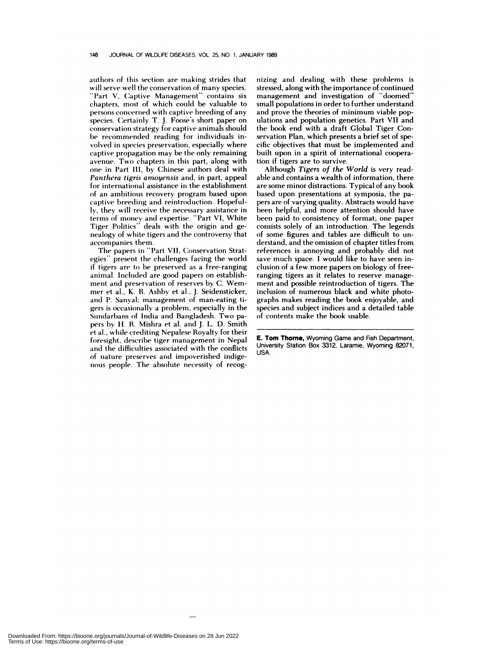authors of this section are making strides that will serve well the conservation of many species.

"Part V, Captive Management" contains six chapters, most of which could be valuable to persons concerned with captive breeding of any species. Certainly T. J. Foose's short paper on conservation strategy for captive animals should be recommended reading for individuals in volved in species preservation, especially where captive propagation may be the only remaining avenue. Two chapters in this part, along with one in Part III, by Chinese authors deal with *Pan thera tigris amoyensis* and, in part, appeal for international assistance in the establishment of an ambitious recovery program based upon captive breeding and reintroduction. Hopefully, they will receive the necessary assistance in terms of money and expertise. "Part VI, White Tiger Politics" deals with the origin and genealogy of white tigers and the controversy that accompanies them.

The papers in "Part VII, Conservation Strategies" present the challenges facing the world if tigers are to be preserved as a free-ranging animal. Included are good papers on establish ment and preservation of reserves by C. Wem men et al., K. R. Ashby et al., J. Seidensticker, and P. Sanyal; management of man-eating ti gers is occasionally a problem, especially in the Sundarbans of India and Bangladesh. Two pa pers by H. R. Mishra et al. and J. L. D. Smith et al., while crediting Nepalese Royalty for their foresight, describe tiger management in Nepal and the difficulties associated with the conflicts of nature preserves and impoverished indige nous people. The absolute necessity of recog**nizing** and dealing with these problems is **stressed,** along **with** the **importance** of **continued management and investigation of "doomed" small populations** in **order** to further **understand and prove the theories of minimum viable populations** and **population genetics. Part VII and** the book end with a **draft Global Tiger Conservation Plan, which presents a brief set of specific objectives that must be implemented and built** upon in a spirit of international cooperation if **tigers are to survive.**

Although *Tigers of the World* is very readable and contains a wealth of information, there are some minor distractions. Typical of any book based upon presentations at symposia, the papers are of varying quality. Abstracts would have been helpful, and more attention should have been paid to consistency of format; one paper consists solely of an introduction. The legends of some figures and tables are difficult to un derstand, and the omission of chapter titles from references is annoying and probably did not save much space. I would like to have seen inclusion of a few more papers on biology of freeranging tigers as it relates to reserve management and possible reintroduction of tigers. The inclusion of numerous black and white photographs makes reading the book enjoyable, and species and subject indices and a detailed table of contents make the book usable.

E. **Tom Thome,** Wyoming Game and Fish Department, University Station Box 3312, Laramie, Wyoming 82071, USA.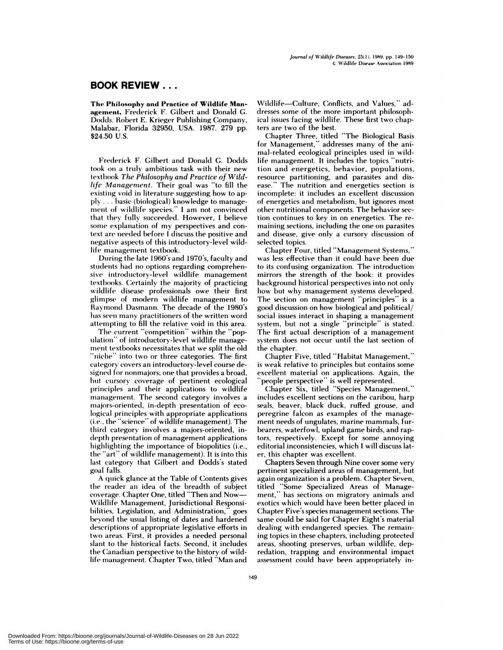## **BOOK REVIEW..**

**The Philosophy and Practice of Wildlife Man agement, Frederick F. Gilbert and Donald G.** Dodds. Robert E. Krieger Publishing Company, Malabar, Florida 32950, USA. 1987. 279 pp. \$24.50 U.S.

**Frederick F. Gilbert** and Donald G. Dodds took on a truly ambitious task with their new textbook *The Philosophy and Practice of Wildlife Management.* Their goal was "to fill the existing void in literature suggesting how to apply *. . .* basic (biological) knowledge to manage ment of wildlife species." I am not convinced that they fully succeeded. However, **I** believe some explanation of my perspectives and context are needed before I discuss the positive and negative aspects of this introductory-level wildlife management textbook.

During the late 1960's and 1970's, faculty and students had no options regarding comprehensive introductory-level wildlife management textbooks. Certainly the majority of practicing wildlife disease professionals owe their first glimpse of modern wildlife management to Raymond Dasmann. The decade of the 1980's has seen many practitioners of the written word attempting to fill the relative void **in this** area.

The current "competition" within the "population" of introductory-level wildlife management textbooks necessitates that we split the old "niche" into two or three categories. The first category covers an introductory-level course designed for nonmajors; one that provides a broad, hut cursory coverage of pertinent ecological principles and their applications to wildlife management. The second category involves a majors-oriented, in-depth presentation of ecological principles with appropriate applications (i.e., the "science" of wildlife management). The third category involves a majors-oriented, indepth presentation of management applications highlighting the importance of biopolitics (i.e., the "art" of wildlife management). It is into this last category that Gilbert and Dodds's stated goal falls.

A quick glance at the Table of Contents gives the reader an idea of the breadth of subject coverage. Chapter One, titled "Then and Now-Wildlife Management, Jurisdictional Responsihilities, Legislation, and Administration," goes beyond the usual listing of dates and hardened descriptions of appropriate legislative efforts in two areas. First, it provides a needed personal slant to the historical facts. Second, it includes the Canadian perspective to the history of wildlife management. Chapter Two, titled "Man and

Wildlife-Culture, Conflicts, and Values," addresses some of the more important philosophical issues facing wildlife. These first two chapters are two of the best.

Chapter Three, titled "The Biological Basis for Management," addresses many of the animal-related ecological principles used in wildlife management. It includes the topics "nutrition and energetics, behavior, populations, resource partitioning, and parasites and dis ease." The nutrition and energetics section is incomplete: it includes an excellent discussion of energetics and metabolism, but ignores most other nutritional components. The behavior sec**tion continues to** key in on energetics. The re maining sections, including the one on parasites and disease, give only a cursory discussion of selected topics.

Chapter Four, titled "Management Systems," was less effective than it could have been due to its confusing organization. The introduction mirrors the strength of the book: it provides background historical perspectives into not only how but why management systems developed. The section on management "principles" is a good discussion on how biological and political/ social issues interact in shaping a management system, but not a single "principle" is stated. The first actual description of a management system does not occur until the last section of the chapter.

Chapter Five, titled "Habitat Management," is weak relative to principles but contains some excellent material on applications. Again, the people perspective" is well represented.

Chapter Six, titled "Species Management," includes excellent sections on the caribou, harp seals, beaver, black duck, ruffed grouse, and peregrine falcon as examples of the management needs of ungulates, marine mammals, furbearers, waterfowl, upland game birds, and raptors, respectively. Except for some annoying editorial inconsistencies, which I will discuss later, this chapter was excellent.

Chapters Seven through Nine cover some very **pertinent** specialized areas of management, but again organization is a problem. Chapter Seven, titled "Some Specialized Areas of Management," has sections on migratory animals and exotics which would have been better placed in Chapter Five's species management sections. The same could be said for Chapter Eight's material dealing with endangered species. The remaining topics in these chapters, including protected areas, shooting preserves, urban wildlife, depredation, trapping and environmental impact assessment could have been appropriately in